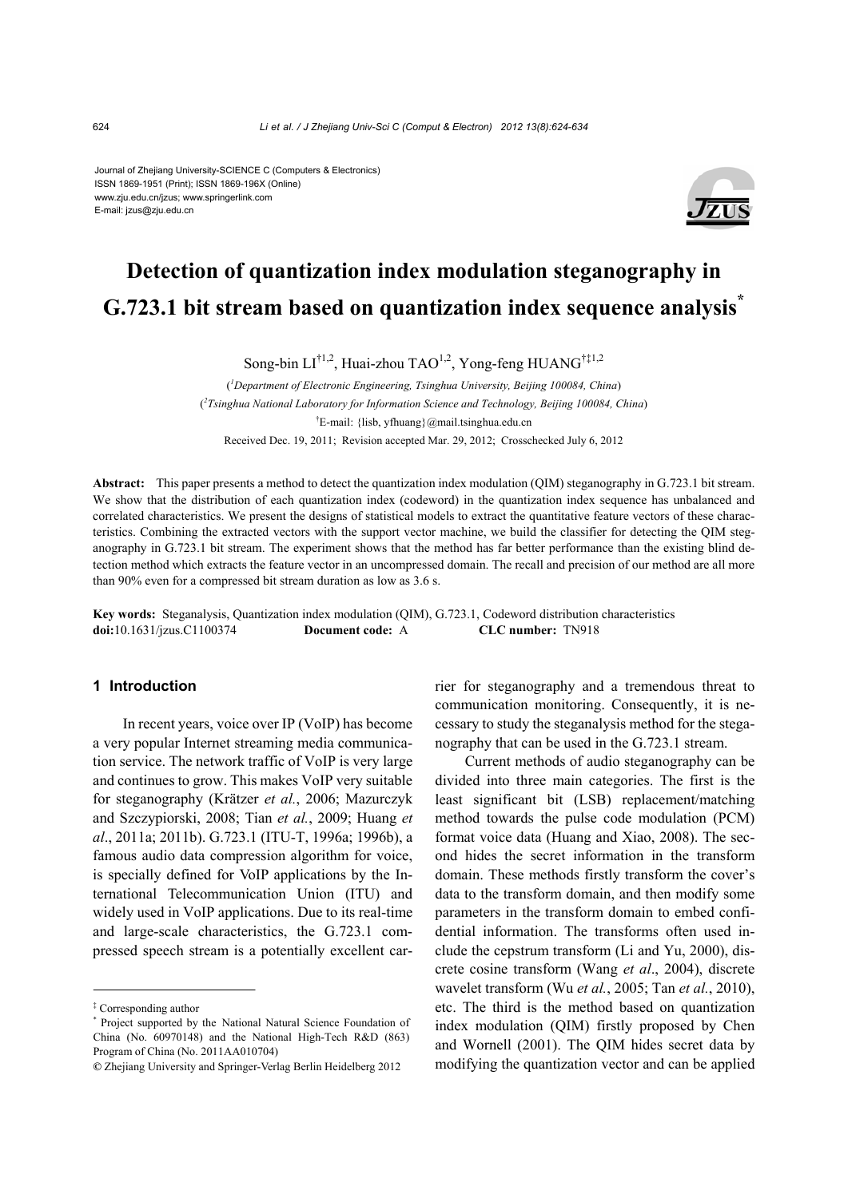Journal of Zhejiang University-SCIENCE C (Computers & Electronics) ISSN 1869-1951 (Print); ISSN 1869-196X (Online) www.zju.edu.cn/jzus; www.springerlink.com E-mail: jzus@zju.edu.cn



# **Detection of quantization index modulation steganography in G.723.1 bit stream based on quantization index sequence analysis\***

Song-bin  $LI^{\dagger1,2}$ , Huai-zhou TAO<sup>1,2</sup>, Yong-feng HUANG<sup>†‡1,2</sup>

( *1 Department of Electronic Engineering, Tsinghua University, Beijing 100084, China*) ( *2 Tsinghua National Laboratory for Information Science and Technology, Beijing 100084, China*) † E-mail: {lisb, yfhuang}@mail.tsinghua.edu.cn Received Dec. 19, 2011; Revision accepted Mar. 29, 2012; Crosschecked July 6, 2012

**Abstract:** This paper presents a method to detect the quantization index modulation (QIM) steganography in G.723.1 bit stream. We show that the distribution of each quantization index (codeword) in the quantization index sequence has unbalanced and correlated characteristics. We present the designs of statistical models to extract the quantitative feature vectors of these characteristics. Combining the extracted vectors with the support vector machine, we build the classifier for detecting the QIM steganography in G.723.1 bit stream. The experiment shows that the method has far better performance than the existing blind detection method which extracts the feature vector in an uncompressed domain. The recall and precision of our method are all more than 90% even for a compressed bit stream duration as low as 3.6 s.

**Key words:** Steganalysis, Quantization index modulation (QIM), G.723.1, Codeword distribution characteristics **doi:**10.1631/jzus.C1100374 **Document code:** A **CLC number:** TN918

#### **1 Introduction**

In recent years, voice over IP (VoIP) has become a very popular Internet streaming media communication service. The network traffic of VoIP is very large and continues to grow. This makes VoIP very suitable for steganography (Krätzer *et al.*, 2006; Mazurczyk and Szczypiorski, 2008; Tian *et al.*, 2009; Huang *et al*., 2011a; 2011b). G.723.1 (ITU-T, 1996a; 1996b), a famous audio data compression algorithm for voice, is specially defined for VoIP applications by the International Telecommunication Union (ITU) and widely used in VoIP applications. Due to its real-time and large-scale characteristics, the G.723.1 compressed speech stream is a potentially excellent carrier for steganography and a tremendous threat to communication monitoring. Consequently, it is necessary to study the steganalysis method for the steganography that can be used in the G.723.1 stream.

Current methods of audio steganography can be divided into three main categories. The first is the least significant bit (LSB) replacement/matching method towards the pulse code modulation (PCM) format voice data (Huang and Xiao, 2008). The second hides the secret information in the transform domain. These methods firstly transform the cover's data to the transform domain, and then modify some parameters in the transform domain to embed confidential information. The transforms often used include the cepstrum transform (Li and Yu, 2000), discrete cosine transform (Wang *et al*., 2004), discrete wavelet transform (Wu *et al.*, 2005; Tan *et al.*, 2010), etc. The third is the method based on quantization index modulation (QIM) firstly proposed by Chen and Wornell (2001). The QIM hides secret data by modifying the quantization vector and can be applied

<sup>‡</sup> Corresponding author

<sup>\*</sup> Project supported by the National Natural Science Foundation of China (No. 60970148) and the National High-Tech R&D (863) Program of China (No. 2011AA010704)

**<sup>©</sup>** Zhejiang University and Springer-Verlag Berlin Heidelberg 2012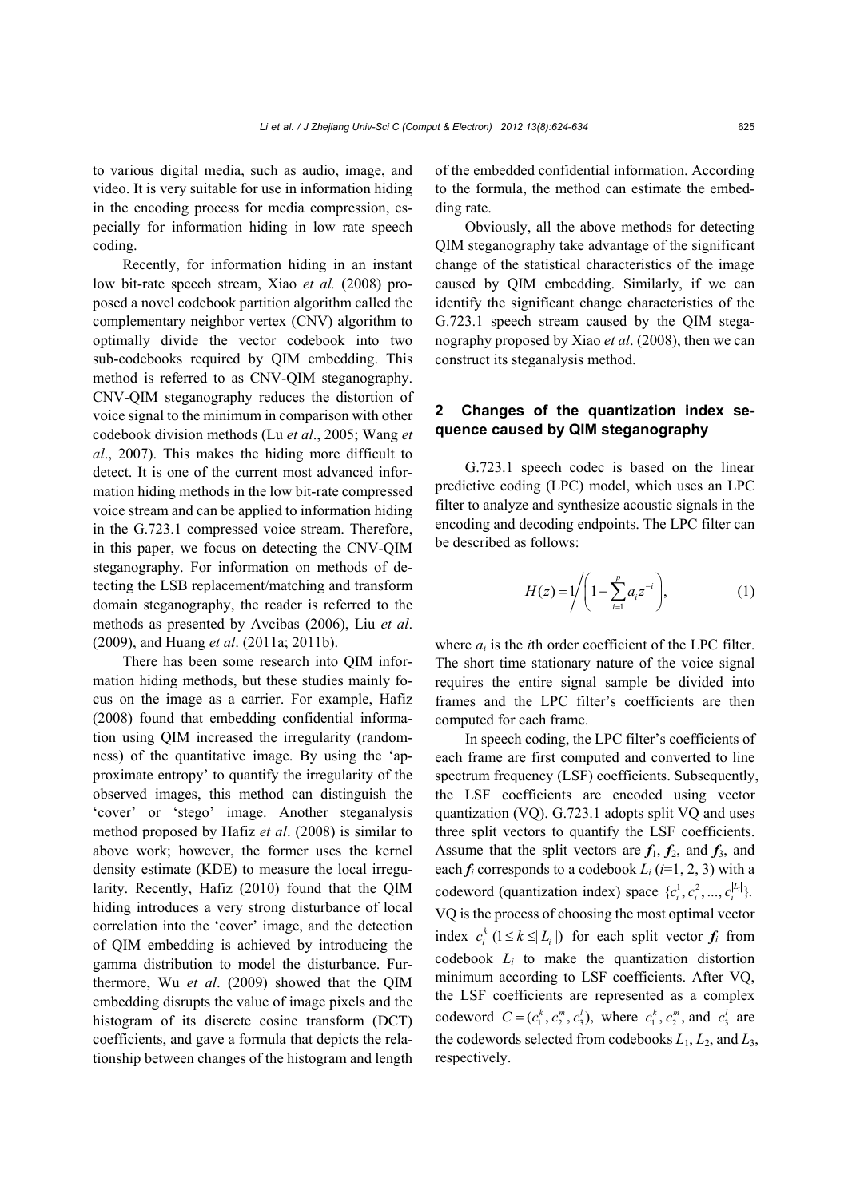to various digital media, such as audio, image, and video. It is very suitable for use in information hiding in the encoding process for media compression, especially for information hiding in low rate speech coding.

Recently, for information hiding in an instant low bit-rate speech stream, Xiao *et al.* (2008) proposed a novel codebook partition algorithm called the complementary neighbor vertex (CNV) algorithm to optimally divide the vector codebook into two sub-codebooks required by QIM embedding. This method is referred to as CNV-QIM steganography. CNV-QIM steganography reduces the distortion of voice signal to the minimum in comparison with other codebook division methods (Lu *et al*., 2005; Wang *et al*., 2007). This makes the hiding more difficult to detect. It is one of the current most advanced information hiding methods in the low bit-rate compressed voice stream and can be applied to information hiding in the G.723.1 compressed voice stream. Therefore, in this paper, we focus on detecting the CNV-QIM steganography. For information on methods of detecting the LSB replacement/matching and transform domain steganography, the reader is referred to the methods as presented by Avcibas (2006), Liu *et al*. (2009), and Huang *et al*. (2011a; 2011b).

There has been some research into QIM information hiding methods, but these studies mainly focus on the image as a carrier. For example, Hafiz (2008) found that embedding confidential information using QIM increased the irregularity (randomness) of the quantitative image. By using the 'approximate entropy' to quantify the irregularity of the observed images, this method can distinguish the 'cover' or 'stego' image. Another steganalysis method proposed by Hafiz *et al*. (2008) is similar to above work; however, the former uses the kernel density estimate (KDE) to measure the local irregularity. Recently, Hafiz (2010) found that the QIM hiding introduces a very strong disturbance of local correlation into the 'cover' image, and the detection of QIM embedding is achieved by introducing the gamma distribution to model the disturbance. Furthermore, Wu *et al*. (2009) showed that the QIM embedding disrupts the value of image pixels and the histogram of its discrete cosine transform (DCT) coefficients, and gave a formula that depicts the relationship between changes of the histogram and length

of the embedded confidential information. According to the formula, the method can estimate the embedding rate.

Obviously, all the above methods for detecting QIM steganography take advantage of the significant change of the statistical characteristics of the image caused by QIM embedding. Similarly, if we can identify the significant change characteristics of the G.723.1 speech stream caused by the QIM steganography proposed by Xiao *et al*. (2008), then we can construct its steganalysis method.

## **2 Changes of the quantization index sequence caused by QIM steganography**

G.723.1 speech codec is based on the linear predictive coding (LPC) model, which uses an LPC filter to analyze and synthesize acoustic signals in the encoding and decoding endpoints. The LPC filter can be described as follows:

$$
H(z) = 1 / \left(1 - \sum_{i=1}^{p} a_i z^{-i}\right),
$$
 (1)

where  $a_i$  is the *i*th order coefficient of the LPC filter. The short time stationary nature of the voice signal requires the entire signal sample be divided into frames and the LPC filter's coefficients are then computed for each frame.

In speech coding, the LPC filter's coefficients of each frame are first computed and converted to line spectrum frequency (LSF) coefficients. Subsequently, the LSF coefficients are encoded using vector quantization (VQ). G.723.1 adopts split VQ and uses three split vectors to quantify the LSF coefficients. Assume that the split vectors are  $f_1$ ,  $f_2$ , and  $f_3$ , and each  $f_i$  corresponds to a codebook  $L_i$  ( $i=1, 2, 3$ ) with a codeword (quantization index) space  $\{c_i^1, c_i^2, ..., c_i^{|L_i|}\}.$ VQ is the process of choosing the most optimal vector index  $c_i^k$  ( $1 \le k \le |L_i|$ ) for each split vector  $f_i$  from codebook *Li* to make the quantization distortion minimum according to LSF coefficients. After VQ, the LSF coefficients are represented as a complex codeword  $C = (c_1^k, c_2^m, c_3^l)$ , where  $c_1^k, c_2^m$ , and  $c_3^l$  are the codewords selected from codebooks  $L_1, L_2$ , and  $L_3$ , respectively.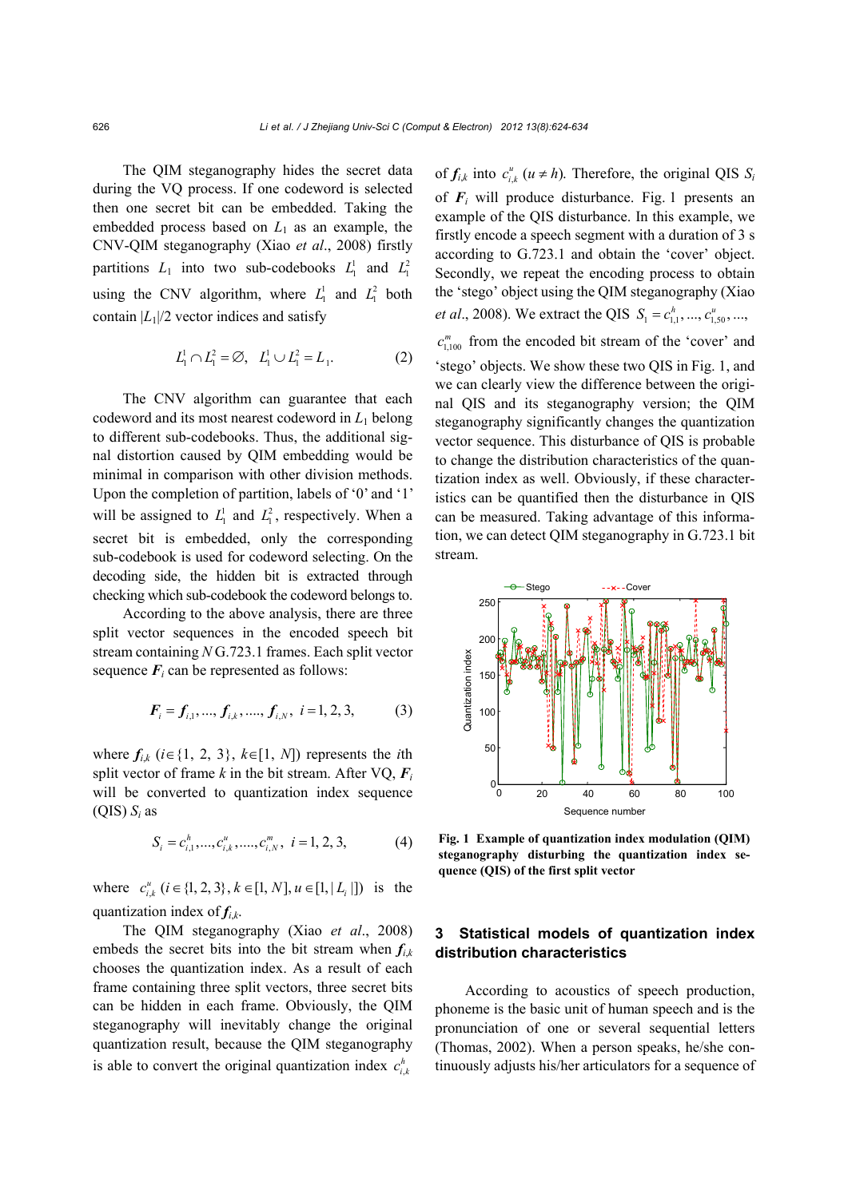The QIM steganography hides the secret data during the VQ process. If one codeword is selected then one secret bit can be embedded. Taking the embedded process based on  $L_1$  as an example, the CNV-QIM steganography (Xiao *et al*., 2008) firstly partitions  $L_1$  into two sub-codebooks  $L_1^1$  and  $L_1^2$ using the CNV algorithm, where  $L_1^1$  and  $L_1^2$  both contain  $|L_1|/2$  vector indices and satisfy

$$
L_1^1 \cap L_1^2 = \emptyset, \quad L_1^1 \cup L_1^2 = L_1. \tag{2}
$$

The CNV algorithm can guarantee that each codeword and its most nearest codeword in *L*1 belong to different sub-codebooks. Thus, the additional signal distortion caused by QIM embedding would be minimal in comparison with other division methods. Upon the completion of partition, labels of '0' and '1' will be assigned to  $L_1^1$  and  $L_1^2$ , respectively. When a secret bit is embedded, only the corresponding sub-codebook is used for codeword selecting. On the decoding side, the hidden bit is extracted through checking which sub-codebook the codeword belongs to.

According to the above analysis, there are three split vector sequences in the encoded speech bit stream containing *N* G.723.1 frames. Each split vector sequence  $F_i$  can be represented as follows:

$$
F_i = f_{i,1}, ..., f_{i,k}, ..., f_{i,N}, i = 1, 2, 3,
$$
 (3)

where  $f_{i,k}$  (*i*  $\in$  {1, 2, 3},  $k \in$  [1, *N*]) represents the *i*th split vector of frame  $k$  in the bit stream. After VQ,  $\vec{F}$ will be converted to quantization index sequence  $(QIS) S_i$  as

$$
S_i = c_{i,1}^h, \dots, c_{i,k}^u, \dots, c_{i,N}^m, \ i = 1, 2, 3,
$$
 (4)

where  $c_{i,k}^u$   $(i \in \{1, 2, 3\}, k \in [1, N], u \in [1, |L_i|])$  is the quantization index of  $f_{ik}$ .

The QIM steganography (Xiao *et al*., 2008) embeds the secret bits into the bit stream when  $f_{i,k}$ chooses the quantization index. As a result of each frame containing three split vectors, three secret bits can be hidden in each frame. Obviously, the QIM steganography will inevitably change the original quantization result, because the QIM steganography is able to convert the original quantization index  $c_{i,k}^h$ 

of  $f_{i,k}$  into  $c_{i,k}^u$  ( $u \neq h$ ). Therefore, the original QIS  $S_i$ of  $F_i$  will produce disturbance. Fig. 1 presents an example of the QIS disturbance. In this example, we firstly encode a speech segment with a duration of 3 s according to G.723.1 and obtain the 'cover' object. Secondly, we repeat the encoding process to obtain the 'stego' object using the QIM steganography (Xiao *et al.*, 2008). We extract the QIS  $S_1 = c_{1,1}^h, ..., c_{1,50}^u, ...,$ 

 $c_{1,100}$  from the encoded bit stream of the 'cover' and 'stego' objects. We show these two QIS in Fig. 1, and we can clearly view the difference between the original QIS and its steganography version; the QIM steganography significantly changes the quantization vector sequence. This disturbance of QIS is probable to change the distribution characteristics of the quantization index as well. Obviously, if these characteristics can be quantified then the disturbance in QIS can be measured. Taking advantage of this information, we can detect QIM steganography in G.723.1 bit stream.



**Fig. 1 Example of quantization index modulation (QIM) steganography disturbing the quantization index sequence (QIS) of the first split vector**

## **3 Statistical models of quantization index distribution characteristics**

According to acoustics of speech production, phoneme is the basic unit of human speech and is the pronunciation of one or several sequential letters (Thomas, 2002). When a person speaks, he/she continuously adjusts his/her articulators for a sequence of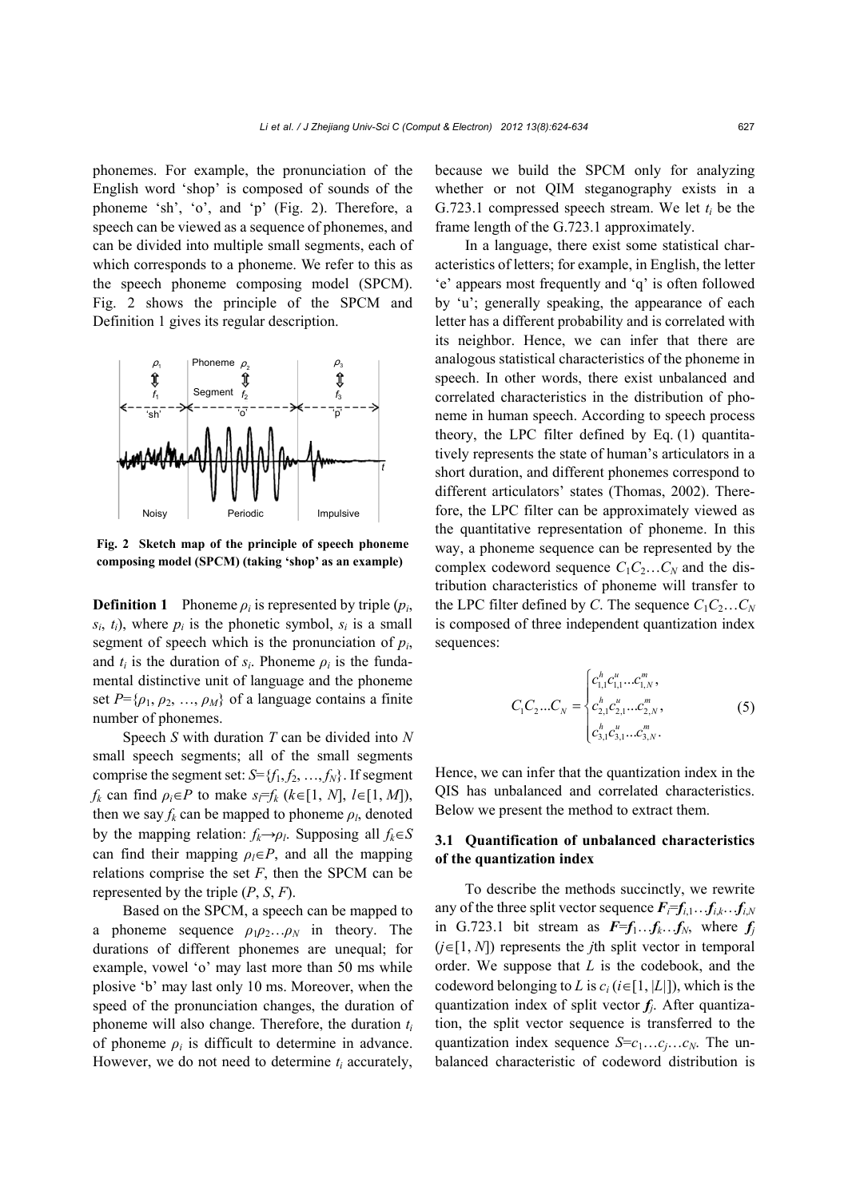phonemes. For example, the pronunciation of the English word 'shop' is composed of sounds of the phoneme 'sh', 'o', and 'p' (Fig. 2). Therefore, a speech can be viewed as a sequence of phonemes, and can be divided into multiple small segments, each of which corresponds to a phoneme. We refer to this as the speech phoneme composing model (SPCM). Fig. 2 shows the principle of the SPCM and Definition 1 gives its regular description.



**Fig. 2 Sketch map of the principle of speech phoneme composing model (SPCM) (taking 'shop' as an example)**

**Definition 1** Phoneme  $\rho_i$  is represented by triple  $(p_i,$  $s_i$ ,  $t_i$ ), where  $p_i$  is the phonetic symbol,  $s_i$  is a small segment of speech which is the pronunciation of *pi*, and  $t_i$  is the duration of  $s_i$ . Phoneme  $\rho_i$  is the fundamental distinctive unit of language and the phoneme set  $P = {\rho_1, \rho_2, ..., \rho_M}$  of a language contains a finite number of phonemes.

Speech *S* with duration *T* can be divided into *N* small speech segments; all of the small segments comprise the segment set:  $S = \{f_1, f_2, ..., f_N\}$ . If segment *f<sub>k</sub>* can find  $\rho_i \in P$  to make  $s_i = f_k$  ( $k \in [1, N]$ ,  $l \in [1, M]$ ), then we say  $f_k$  can be mapped to phoneme  $\rho_l$ , denoted by the mapping relation:  $f_k \rightarrow \rho_l$ . Supposing all  $f_k \in S$ can find their mapping  $\rho$ <sub>*l*</sub> $\in$ *P*, and all the mapping relations comprise the set  $F$ , then the SPCM can be represented by the triple (*P*, *S*, *F*).

Based on the SPCM, a speech can be mapped to a phoneme sequence  $\rho_1 \rho_2 \ldots \rho_N$  in theory. The durations of different phonemes are unequal; for example, vowel 'o' may last more than 50 ms while plosive 'b' may last only 10 ms. Moreover, when the speed of the pronunciation changes, the duration of phoneme will also change. Therefore, the duration *ti* of phoneme  $\rho_i$  is difficult to determine in advance. However, we do not need to determine  $t_i$  accurately,

because we build the SPCM only for analyzing whether or not QIM steganography exists in a G.723.1 compressed speech stream. We let  $t_i$  be the frame length of the G.723.1 approximately.

In a language, there exist some statistical characteristics of letters; for example, in English, the letter 'e' appears most frequently and 'q' is often followed by 'u'; generally speaking, the appearance of each letter has a different probability and is correlated with its neighbor. Hence, we can infer that there are analogous statistical characteristics of the phoneme in speech. In other words, there exist unbalanced and correlated characteristics in the distribution of phoneme in human speech. According to speech process theory, the LPC filter defined by Eq. (1) quantitatively represents the state of human's articulators in a short duration, and different phonemes correspond to different articulators' states (Thomas, 2002). Therefore, the LPC filter can be approximately viewed as the quantitative representation of phoneme. In this way, a phoneme sequence can be represented by the complex codeword sequence  $C_1C_2...C_N$  and the distribution characteristics of phoneme will transfer to the LPC filter defined by *C*. The sequence  $C_1C_2...C_N$ is composed of three independent quantization index sequences:

$$
C_{1}C_{2}...C_{N} = \begin{cases} c_{1,1}^{h}c_{1,1}^{u}...c_{1,N}^{m}, \\ c_{2,1}^{h}c_{2,1}^{u}...c_{2,N}^{m}, \\ c_{3,1}^{h}c_{3,1}^{u}...c_{3,N}^{m}. \end{cases}
$$
 (5)

Hence, we can infer that the quantization index in the QIS has unbalanced and correlated characteristics. Below we present the method to extract them.

## **3.1 Quantification of unbalanced characteristics of the quantization index**

To describe the methods succinctly, we rewrite any of the three split vector sequence  $\vec{F}_i = f_{i,1} \dots f_{i,k} \dots f_{i,N}$ in G.723.1 bit stream as  $F=f_1...f_k...f_N$ , where  $f_i$  $(j \in [1, N])$  represents the *j*th split vector in temporal order. We suppose that *L* is the codebook, and the codeword belonging to *L* is  $c_i$  ( $i \in [1, |L|]$ ), which is the quantization index of split vector *fj*. After quantization, the split vector sequence is transferred to the quantization index sequence  $S=c_1...c_i...c_N$ . The unbalanced characteristic of codeword distribution is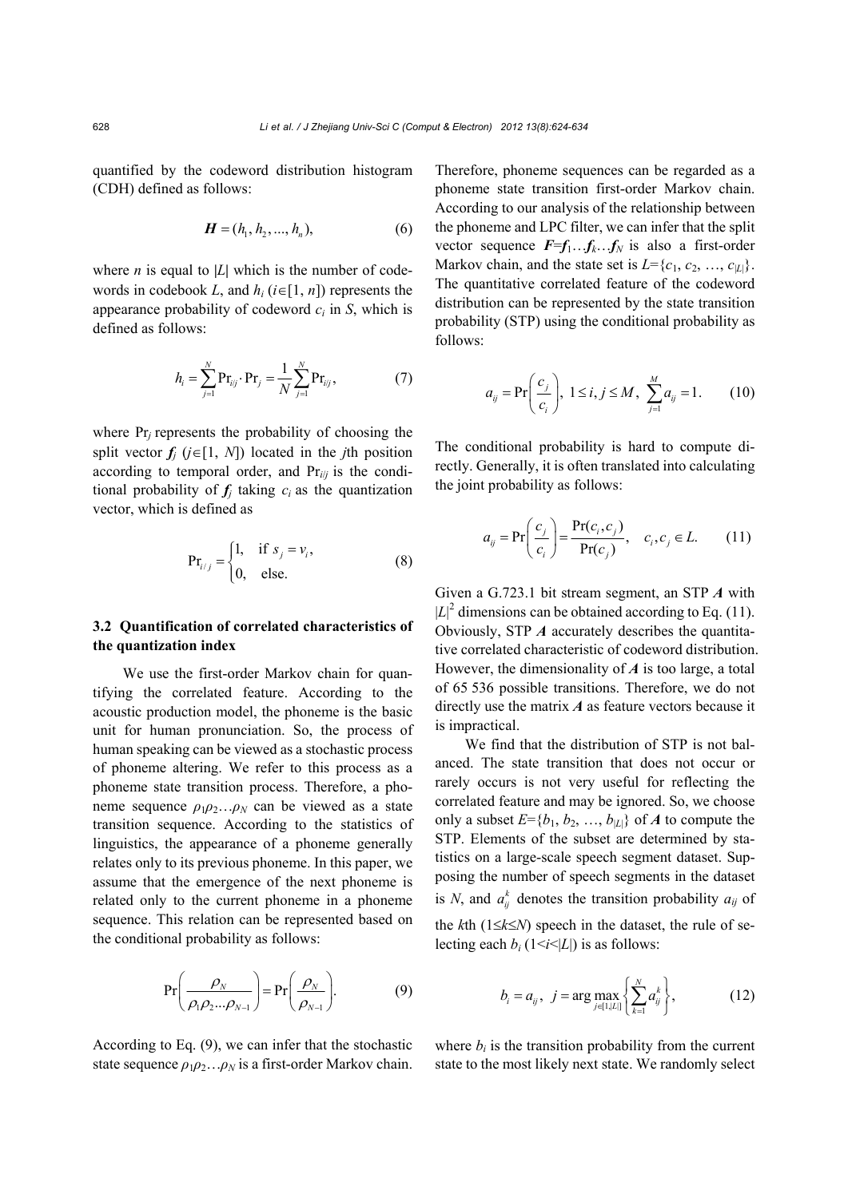quantified by the codeword distribution histogram (CDH) defined as follows:

$$
H = (h_1, h_2, ..., h_n),
$$
 (6)

where *n* is equal to  $|L|$  which is the number of codewords in codebook *L*, and  $h_i$  ( $i \in [1, n]$ ) represents the appearance probability of codeword  $c_i$  in  $S$ , which is defined as follows:

$$
h_{i} = \sum_{j=1}^{N} \mathbf{P} \mathbf{r}_{ij} \cdot \mathbf{P} \mathbf{r}_{j} = \frac{1}{N} \sum_{j=1}^{N} \mathbf{P} \mathbf{r}_{ij},
$$
(7)

where Pr*j* represents the probability of choosing the split vector  $f_i$  ( $j \in [1, N]$ ) located in the *j*th position according to temporal order, and Pr<sub>i/*j*</sub> is the conditional probability of  $f_i$  taking  $c_i$  as the quantization vector, which is defined as

$$
Pr_{i/j} = \begin{cases} 1, & \text{if } s_j = v_i, \\ 0, & \text{else.} \end{cases}
$$
 (8)

## **3.2 Quantification of correlated characteristics of the quantization index**

We use the first-order Markov chain for quantifying the correlated feature. According to the acoustic production model, the phoneme is the basic unit for human pronunciation. So, the process of human speaking can be viewed as a stochastic process of phoneme altering. We refer to this process as a phoneme state transition process. Therefore, a phoneme sequence  $\rho_1 \rho_2 \ldots \rho_N$  can be viewed as a state transition sequence. According to the statistics of linguistics, the appearance of a phoneme generally relates only to its previous phoneme. In this paper, we assume that the emergence of the next phoneme is related only to the current phoneme in a phoneme sequence. This relation can be represented based on the conditional probability as follows:

$$
\Pr\left(\frac{\rho_N}{\rho_1 \rho_2 ... \rho_{N-1}}\right) = \Pr\left(\frac{\rho_N}{\rho_{N-1}}\right). \tag{9}
$$

According to Eq. (9), we can infer that the stochastic state sequence  $\rho_1 \rho_2 \ldots \rho_N$  is a first-order Markov chain. Therefore, phoneme sequences can be regarded as a phoneme state transition first-order Markov chain. According to our analysis of the relationship between the phoneme and LPC filter, we can infer that the split vector sequence  $F=f_1...f_k...f_N$  is also a first-order Markov chain, and the state set is  $L = \{c_1, c_2, ..., c_{|L|}\}.$ The quantitative correlated feature of the codeword distribution can be represented by the state transition probability (STP) using the conditional probability as follows:

$$
a_{ij} = \Pr\left(\frac{c_j}{c_i}\right), \ 1 \le i, j \le M, \ \sum_{j=1}^{M} a_{ij} = 1. \tag{10}
$$

The conditional probability is hard to compute directly. Generally, it is often translated into calculating the joint probability as follows:

$$
a_{ij} = \Pr\left(\frac{c_j}{c_i}\right) = \frac{\Pr(c_i, c_j)}{\Pr(c_j)}, \quad c_i, c_j \in L. \tag{11}
$$

Given a G.723.1 bit stream segment, an STP *A* with  $|L|^2$  dimensions can be obtained according to Eq. (11). Obviously, STP *A* accurately describes the quantitative correlated characteristic of codeword distribution. However, the dimensionality of *A* is too large, a total of 65 536 possible transitions. Therefore, we do not directly use the matrix *A* as feature vectors because it is impractical.

We find that the distribution of STP is not balanced. The state transition that does not occur or rarely occurs is not very useful for reflecting the correlated feature and may be ignored. So, we choose only a subset  $E = \{b_1, b_2, ..., b_{|L|}\}$  of *A* to compute the STP. Elements of the subset are determined by statistics on a large-scale speech segment dataset. Supposing the number of speech segments in the dataset is *N*, and  $a_{ij}^k$  denotes the transition probability  $a_{ij}$  of the  $k$ th ( $1 \leq k \leq N$ ) speech in the dataset, the rule of selecting each  $b_i$  (1 <*i* <  $|L|$ ) is as follows:

$$
b_i = a_{ij}, \ \ j = \arg \max_{j \in [1, |I|]} \left\{ \sum_{k=1}^N a_{ij}^k \right\},\tag{12}
$$

where  $b_i$  is the transition probability from the current state to the most likely next state. We randomly select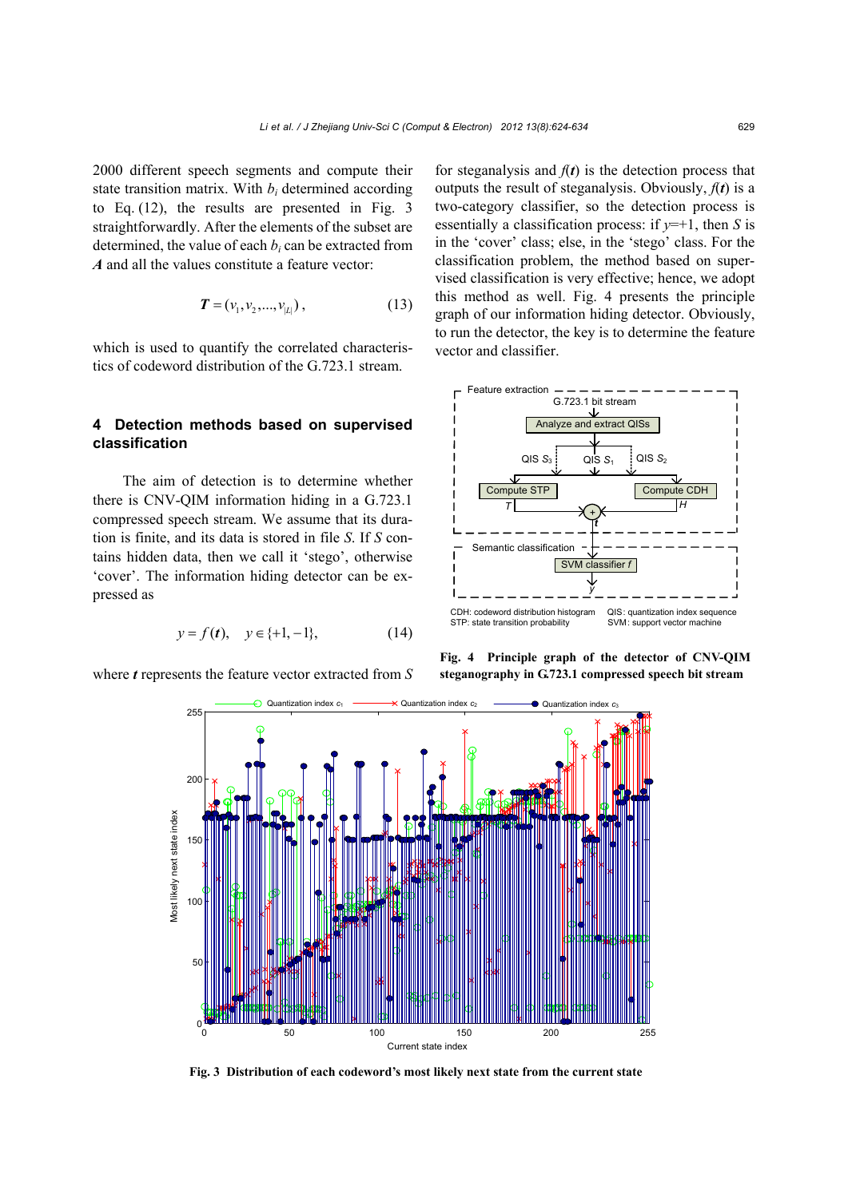2000 different speech segments and compute their state transition matrix. With  $b_i$  determined according to Eq. (12), the results are presented in Fig. 3 straightforwardly. After the elements of the subset are determined, the value of each *bi* can be extracted from *A* and all the values constitute a feature vector:

$$
T = (v_1, v_2, ..., v_{|L|}), \qquad (13)
$$

which is used to quantify the correlated characteristics of codeword distribution of the G.723.1 stream.

## **4 Detection methods based on supervised classification**

The aim of detection is to determine whether there is CNV-QIM information hiding in a G.723.1 compressed speech stream. We assume that its duration is finite, and its data is stored in file *S*. If *S* contains hidden data, then we call it 'stego', otherwise 'cover'. The information hiding detector can be expressed as

$$
y = f(t), y \in \{+1, -1\},
$$
 (14)

where *t* represents the feature vector extracted from *S*

for steganalysis and  $f(t)$  is the detection process that outputs the result of steganalysis. Obviously,  $f(t)$  is a two-category classifier, so the detection process is essentially a classification process: if *y*=+1, then *S* is in the 'cover' class; else, in the 'stego' class. For the classification problem, the method based on supervised classification is very effective; hence, we adopt this method as well. Fig. 4 presents the principle graph of our information hiding detector. Obviously, to run the detector, the key is to determine the feature vector and classifier.



**Fig. 4 Principle graph of the detector of CNV-QIM steganography in G.723.1 compressed speech bit stream**



**Fig. 3 Distribution of each codeword's most likely next state from the current state**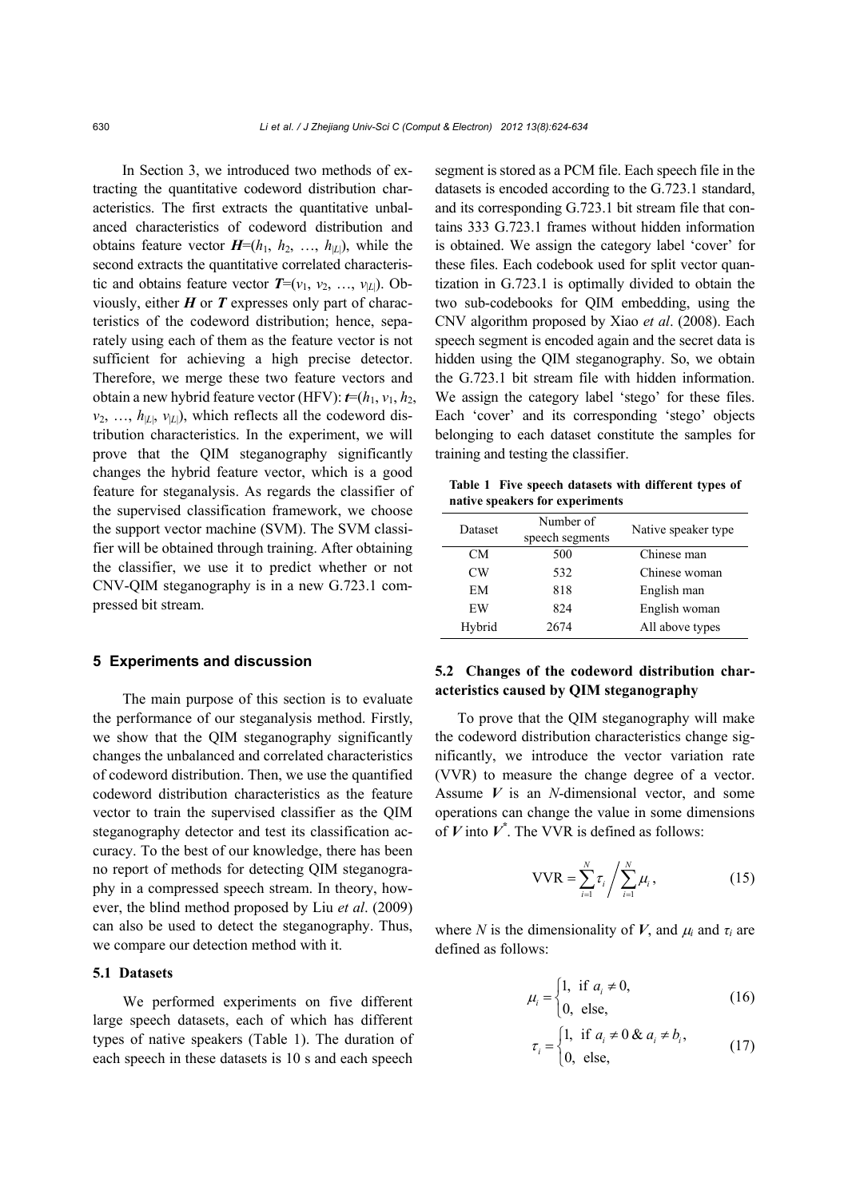In Section 3, we introduced two methods of extracting the quantitative codeword distribution characteristics. The first extracts the quantitative unbalanced characteristics of codeword distribution and obtains feature vector  $H=(h_1, h_2, ..., h_{|L|})$ , while the second extracts the quantitative correlated characteristic and obtains feature vector  $T=(v_1, v_2, ..., v_{|L|})$ . Obviously, either *H* or *T* expresses only part of characteristics of the codeword distribution; hence, separately using each of them as the feature vector is not sufficient for achieving a high precise detector. Therefore, we merge these two feature vectors and obtain a new hybrid feature vector (HFV):  $t=(h_1, v_1, h_2,$  $v_2, \ldots, h_{|L|}, v_{|L|}$ , which reflects all the codeword distribution characteristics. In the experiment, we will prove that the QIM steganography significantly changes the hybrid feature vector, which is a good feature for steganalysis. As regards the classifier of the supervised classification framework, we choose the support vector machine (SVM). The SVM classifier will be obtained through training. After obtaining the classifier, we use it to predict whether or not CNV-QIM steganography is in a new G.723.1 compressed bit stream.

## **5 Experiments and discussion**

The main purpose of this section is to evaluate the performance of our steganalysis method. Firstly, we show that the QIM steganography significantly changes the unbalanced and correlated characteristics of codeword distribution. Then, we use the quantified codeword distribution characteristics as the feature vector to train the supervised classifier as the QIM steganography detector and test its classification accuracy. To the best of our knowledge, there has been no report of methods for detecting QIM steganography in a compressed speech stream. In theory, however, the blind method proposed by Liu *et al*. (2009) can also be used to detect the steganography. Thus, we compare our detection method with it.

#### **5.1 Datasets**

We performed experiments on five different large speech datasets, each of which has different types of native speakers (Table 1). The duration of each speech in these datasets is 10 s and each speech segment is stored as a PCM file. Each speech file in the datasets is encoded according to the G.723.1 standard, and its corresponding G.723.1 bit stream file that contains 333 G.723.1 frames without hidden information is obtained. We assign the category label 'cover' for these files. Each codebook used for split vector quantization in G.723.1 is optimally divided to obtain the two sub-codebooks for QIM embedding, using the CNV algorithm proposed by Xiao *et al*. (2008). Each speech segment is encoded again and the secret data is hidden using the QIM steganography. So, we obtain the G.723.1 bit stream file with hidden information. We assign the category label 'stego' for these files. Each 'cover' and its corresponding 'stego' objects belonging to each dataset constitute the samples for training and testing the classifier.

**Table 1 Five speech datasets with different types of native speakers for experiments** 

| Dataset | Number of<br>speech segments | Native speaker type |  |  |
|---------|------------------------------|---------------------|--|--|
| CM.     | 500                          | Chinese man         |  |  |
| CW      | 532                          | Chinese woman       |  |  |
| EM      | 818                          | English man         |  |  |
| EW      | 824                          | English woman       |  |  |
| Hybrid  | 2674                         | All above types     |  |  |

## **5.2 Changes of the codeword distribution characteristics caused by QIM steganography**

To prove that the QIM steganography will make the codeword distribution characteristics change significantly, we introduce the vector variation rate (VVR) to measure the change degree of a vector. Assume *V* is an *N*-dimensional vector, and some operations can change the value in some dimensions of  $V$  into  $V^*$ . The VVR is defined as follows:

$$
VVR = \sum_{i=1}^{N} \tau_i / \sum_{i=1}^{N} \mu_i,
$$
 (15)

where *N* is the dimensionality of *V*, and  $\mu_i$  and  $\tau_i$  are defined as follows:

$$
\mu_i = \begin{cases} 1, & \text{if } a_i \neq 0, \\ 0, & \text{else,} \end{cases}
$$
 (16)

$$
\tau_i = \begin{cases} 1, & \text{if } a_i \neq 0 \& a_i \neq b_i, \\ 0, & \text{else,} \end{cases}
$$
 (17)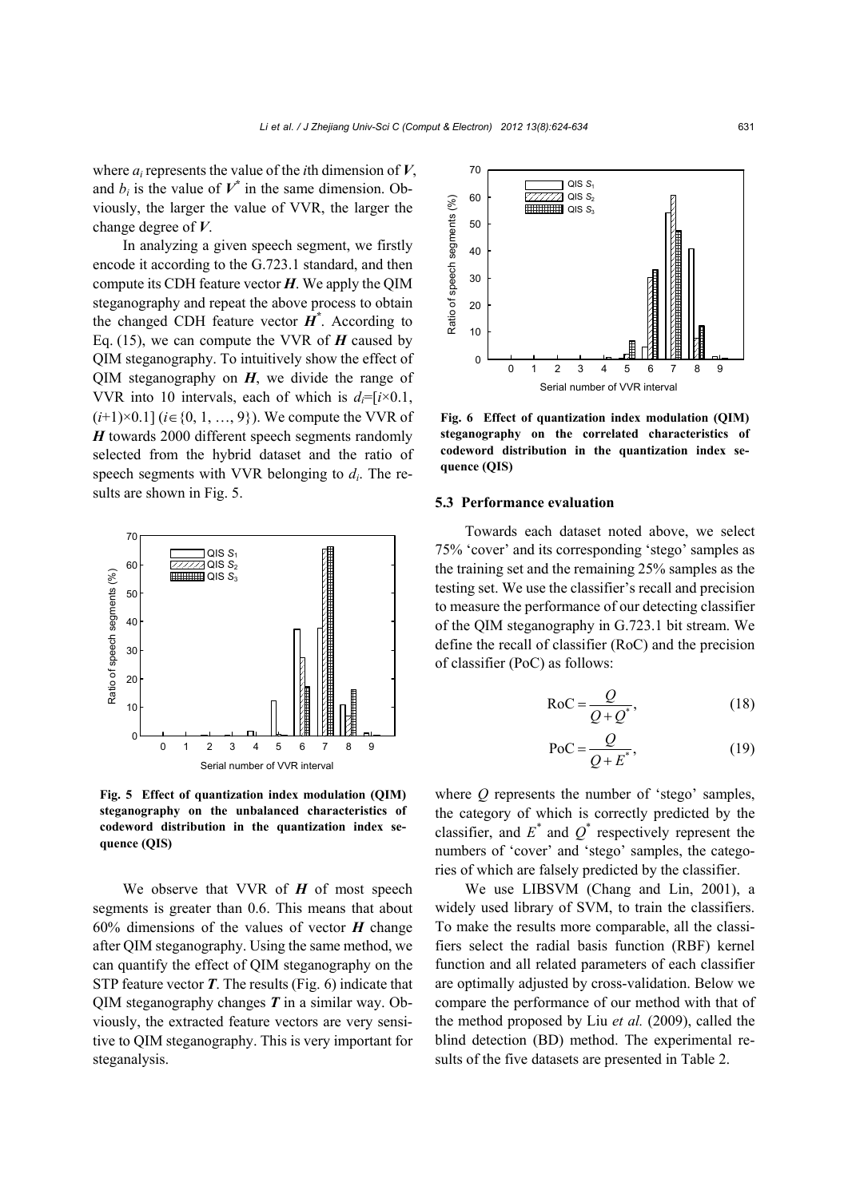where  $a_i$  represents the value of the *i*th dimension of *V*, and  $b_i$  is the value of  $V^*$  in the same dimension. Obviously, the larger the value of VVR, the larger the change degree of *V*.

In analyzing a given speech segment, we firstly encode it according to the G.723.1 standard, and then compute its CDH feature vector  $H$ . We apply the QIM steganography and repeat the above process to obtain the changed CDH feature vector  $\boldsymbol{H}^*$ . According to Eq. (15), we can compute the VVR of  $H$  caused by QIM steganography. To intuitively show the effect of QIM steganography on *H*, we divide the range of VVR into 10 intervals, each of which is  $d_i = [i \times 0.1]$ ,  $(i+1)\times 0.1$  ( $i \in \{0, 1, ..., 9\}$ ). We compute the VVR of *H* towards 2000 different speech segments randomly selected from the hybrid dataset and the ratio of speech segments with VVR belonging to *di*. The results are shown in Fig. 5.



**Fig. 5 Effect of quantization index modulation (QIM) steganography on the unbalanced characteristics of codeword distribution in the quantization index sequence (QIS)**

We observe that VVR of *H* of most speech segments is greater than 0.6. This means that about  $60\%$  dimensions of the values of vector  $H$  change after QIM steganography. Using the same method, we can quantify the effect of QIM steganography on the STP feature vector *T*. The results (Fig. 6) indicate that QIM steganography changes *T* in a similar way. Obviously, the extracted feature vectors are very sensitive to QIM steganography. This is very important for steganalysis.



**Fig. 6 Effect of quantization index modulation (QIM) steganography on the correlated characteristics of codeword distribution in the quantization index sequence (QIS)**

#### **5.3 Performance evaluation**

Towards each dataset noted above, we select 75% 'cover' and its corresponding 'stego' samples as the training set and the remaining 25% samples as the testing set. We use the classifier's recall and precision to measure the performance of our detecting classifier of the QIM steganography in G.723.1 bit stream. We define the recall of classifier (RoC) and the precision of classifier (PoC) as follows:

$$
RoC = \frac{Q}{Q + Q^*},\tag{18}
$$

$$
PoC = \frac{Q}{Q + E^*},\tag{19}
$$

where *Q* represents the number of 'stego' samples, the category of which is correctly predicted by the classifier, and  $E^*$  and  $Q^*$  respectively represent the numbers of 'cover' and 'stego' samples, the categories of which are falsely predicted by the classifier.

We use LIBSVM (Chang and Lin, 2001), a widely used library of SVM, to train the classifiers. To make the results more comparable, all the classifiers select the radial basis function (RBF) kernel function and all related parameters of each classifier are optimally adjusted by cross-validation. Below we compare the performance of our method with that of the method proposed by Liu *et al.* (2009), called the blind detection (BD) method. The experimental results of the five datasets are presented in Table 2.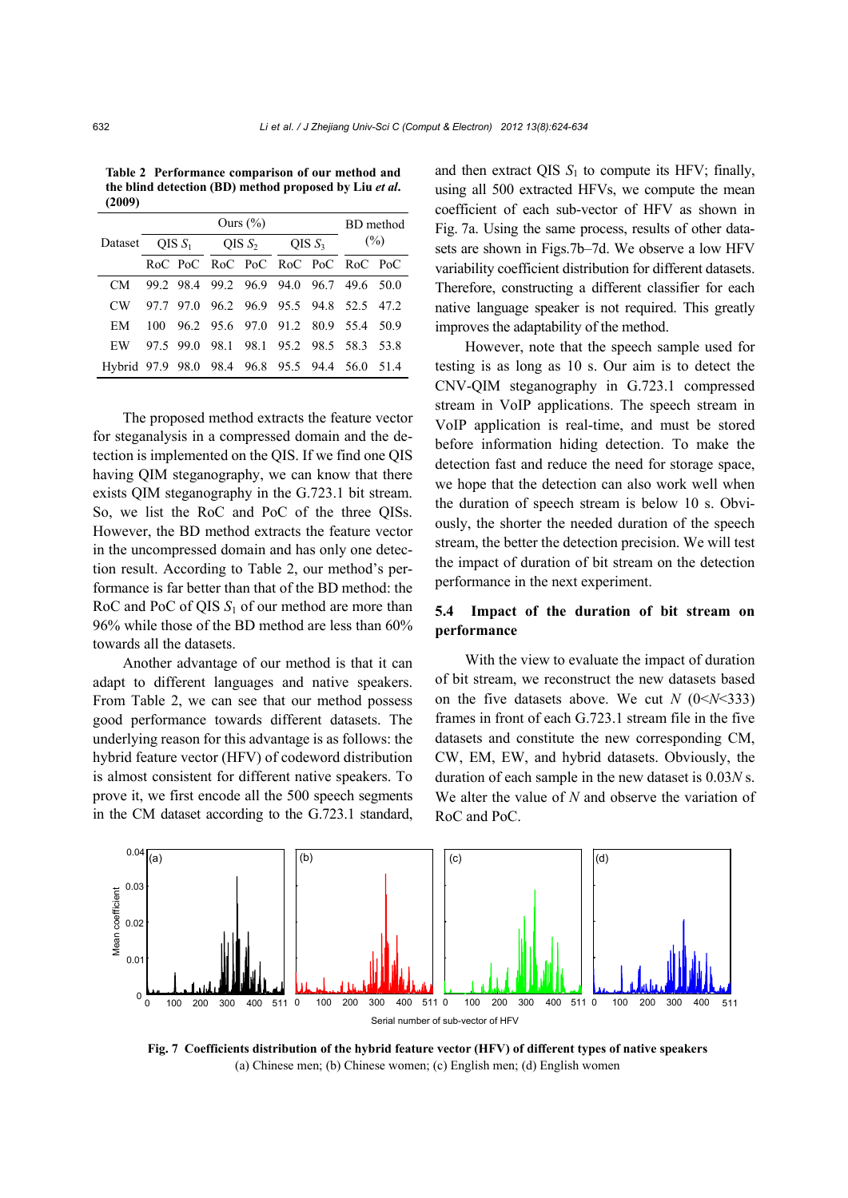**Table 2 Performance comparison of our method and the blind detection (BD) method proposed by Liu** *et al***. (2009)**

|                                                | Ours $(\%)$       |  |                                         |  |           |  | BD method |  |
|------------------------------------------------|-------------------|--|-----------------------------------------|--|-----------|--|-----------|--|
|                                                | Dataset $OIS S_1$ |  | QIS $S_2$                               |  | $OIS S_3$ |  | $(\%)$    |  |
|                                                |                   |  | RoC PoC RoC PoC RoC PoC RoC PoC         |  |           |  |           |  |
| CМ                                             |                   |  | 99.2 98.4 99.2 96.9 94.0 96.7 49.6 50.0 |  |           |  |           |  |
| CW <sub></sub>                                 |                   |  | 97.7 97.0 96.2 96.9 95.5 94.8 52.5 47.2 |  |           |  |           |  |
| EM                                             | 100               |  | 96.2 95.6 97.0 91.2 80.9 55.4 50.9      |  |           |  |           |  |
| EW                                             |                   |  | 97.5 99.0 98.1 98.1 95.2 98.5 58.3 53.8 |  |           |  |           |  |
| Hybrid 97.9 98.0 98.4 96.8 95.5 94.4 56.0 51.4 |                   |  |                                         |  |           |  |           |  |

The proposed method extracts the feature vector for steganalysis in a compressed domain and the detection is implemented on the QIS. If we find one QIS having QIM steganography, we can know that there exists QIM steganography in the G.723.1 bit stream. So, we list the RoC and PoC of the three QISs. However, the BD method extracts the feature vector in the uncompressed domain and has only one detection result. According to Table 2, our method's performance is far better than that of the BD method: the RoC and PoC of QIS *S*1 of our method are more than 96% while those of the BD method are less than 60% towards all the datasets.

Another advantage of our method is that it can adapt to different languages and native speakers. From Table 2, we can see that our method possess good performance towards different datasets. The underlying reason for this advantage is as follows: the hybrid feature vector (HFV) of codeword distribution is almost consistent for different native speakers. To prove it, we first encode all the 500 speech segments in the CM dataset according to the G.723.1 standard,

and then extract QIS  $S_1$  to compute its HFV; finally, using all 500 extracted HFVs, we compute the mean coefficient of each sub-vector of HFV as shown in Fig. 7a. Using the same process, results of other datasets are shown in Figs.7b–7d. We observe a low HFV variability coefficient distribution for different datasets. Therefore, constructing a different classifier for each native language speaker is not required. This greatly improves the adaptability of the method.

However, note that the speech sample used for testing is as long as 10 s. Our aim is to detect the CNV-QIM steganography in G.723.1 compressed stream in VoIP applications. The speech stream in VoIP application is real-time, and must be stored before information hiding detection. To make the detection fast and reduce the need for storage space, we hope that the detection can also work well when the duration of speech stream is below 10 s. Obviously, the shorter the needed duration of the speech stream, the better the detection precision. We will test the impact of duration of bit stream on the detection performance in the next experiment.

# **5.4 Impact of the duration of bit stream on performance**

With the view to evaluate the impact of duration of bit stream, we reconstruct the new datasets based on the five datasets above. We cut *N* (0<*N*<333) frames in front of each G.723.1 stream file in the five datasets and constitute the new corresponding CM, CW, EM, EW, and hybrid datasets. Obviously, the duration of each sample in the new dataset is 0.03*N* s. We alter the value of *N* and observe the variation of RoC and PoC.



**Fig. 7 Coefficients distribution of the hybrid feature vector (HFV) of different types of native speakers**  (a) Chinese men; (b) Chinese women; (c) English men; (d) English women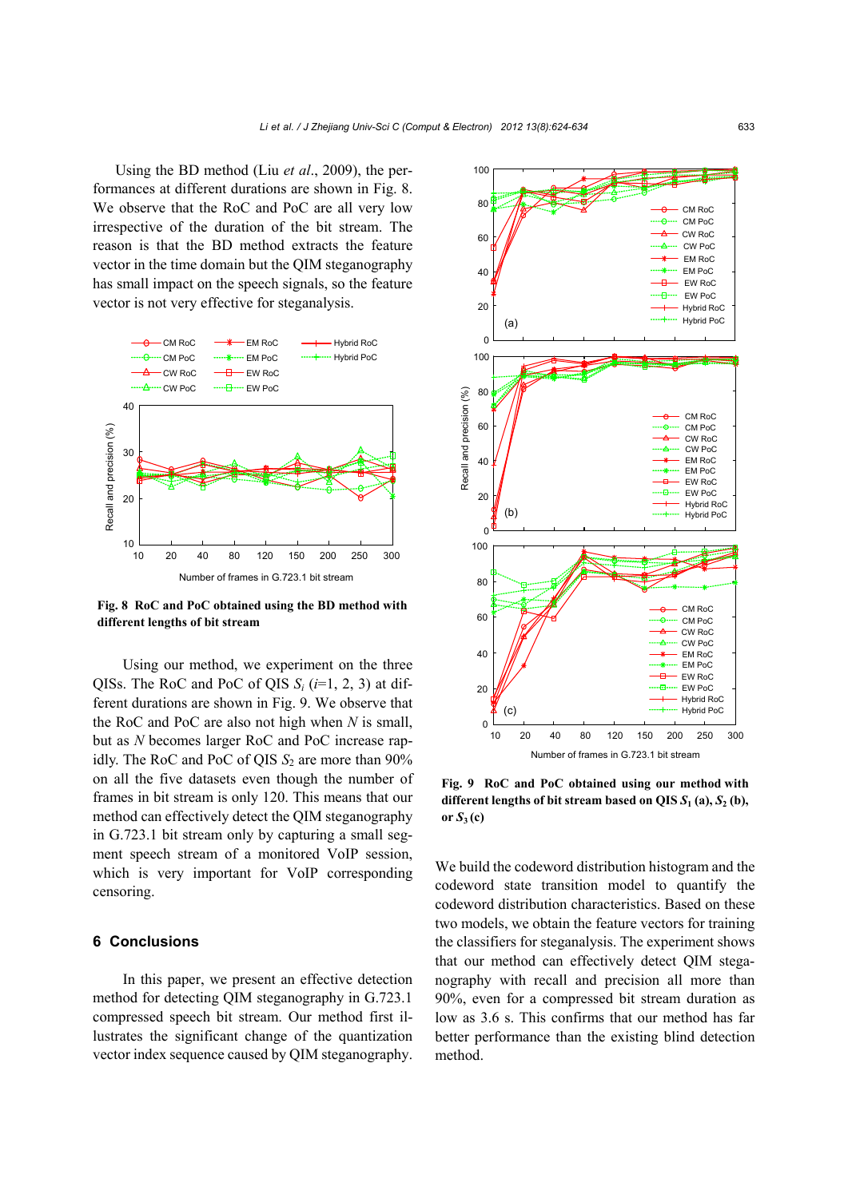Using the BD method (Liu *et al*., 2009), the performances at different durations are shown in Fig. 8. We observe that the RoC and PoC are all very low irrespective of the duration of the bit stream. The reason is that the BD method extracts the feature vector in the time domain but the QIM steganography has small impact on the speech signals, so the feature vector is not very effective for steganalysis.



**Fig. 8 RoC and PoC obtained using the BD method with different lengths of bit stream** 

Using our method, we experiment on the three QISs. The RoC and PoC of QIS *Si* (*i*=1, 2, 3) at different durations are shown in Fig. 9. We observe that the RoC and PoC are also not high when *N* is small, but as *N* becomes larger RoC and PoC increase rapidly. The RoC and PoC of QIS  $S_2$  are more than 90% on all the five datasets even though the number of frames in bit stream is only 120. This means that our method can effectively detect the QIM steganography in G.723.1 bit stream only by capturing a small segment speech stream of a monitored VoIP session, which is very important for VoIP corresponding censoring.

## **6 Conclusions**

In this paper, we present an effective detection method for detecting QIM steganography in G.723.1 compressed speech bit stream. Our method first illustrates the significant change of the quantization vector index sequence caused by QIM steganography.



**Fig. 9 RoC and PoC obtained using our method with**  different lengths of bit stream based on QIS  $S_1$  (a),  $S_2$  (b),  $or S_3(c)$ 

We build the codeword distribution histogram and the codeword state transition model to quantify the codeword distribution characteristics. Based on these two models, we obtain the feature vectors for training the classifiers for steganalysis. The experiment shows that our method can effectively detect QIM steganography with recall and precision all more than 90%, even for a compressed bit stream duration as low as 3.6 s. This confirms that our method has far better performance than the existing blind detection method.